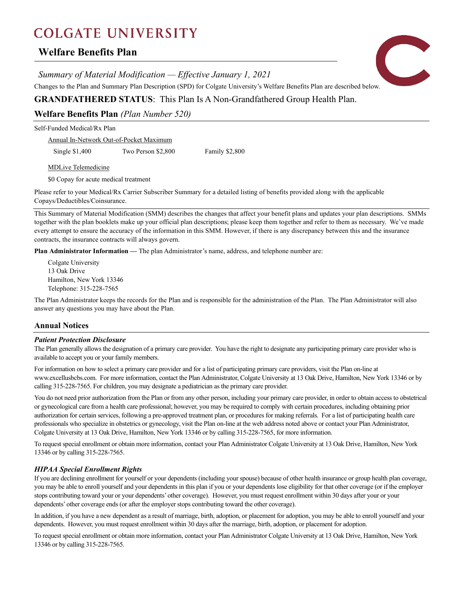# **COLGATE UNIVERSITY**

# **Welfare Benefits Plan**

*Summary of Material Modification — Effective January 1, 2021*

Changes to the Plan and Summary Plan Description (SPD) for Colgate University's Welfare Benefits Plan are described below.

# **GRANDFATHERED STATUS**: This Plan Is A Non-Grandfathered Group Health Plan.

**Welfare Benefits Plan** *(Plan Number 520)*

Self-Funded Medical/Rx Plan

Annual In-Network Out-of-Pocket Maximum

Single \$1,400 Two Person \$2,800 Family \$2,800

MDLive Telemedicine

\$0 Copay for acute medical treatment

Please refer to your Medical/Rx Carrier Subscriber Summary for a detailed listing of benefits provided along with the applicable Copays/Deductibles/Coinsurance.

This Summary of Material Modification (SMM) describes the changes that affect your benefit plans and updates your plan descriptions. SMMs together with the plan booklets make up your official plan descriptions; please keep them together and refer to them as necessary. We've made every attempt to ensure the accuracy of the information in this SMM. However, if there is any discrepancy between this and the insurance contracts, the insurance contracts will always govern.

**Plan Administrator Information —** The plan Administrator's name, address, and telephone number are:

Colgate University 13 Oak Drive Hamilton, New York 13346 Telephone: 315-228-7565

The Plan Administrator keeps the records for the Plan and is responsible for the administration of the Plan. The Plan Administrator will also answer any questions you may have about the Plan.

# **Annual Notices**

## *Patient Protection Disclosure*

The Plan generally allows the designation of a primary care provider. You have the right to designate any participating primary care provider who is available to accept you or your family members.

For information on how to select a primary care provider and for a list of participating primary care providers, visit the Plan on-line at www.excellusbcbs.com. For more information, contact the Plan Administrator, Colgate University at 13 Oak Drive, Hamilton, New York 13346 or by calling 315-228-7565. For children, you may designate a pediatrician as the primary care provider.

You do not need prior authorization from the Plan or from any other person, including your primary care provider, in order to obtain access to obstetrical or gynecological care from a health care professional; however, you may be required to comply with certain procedures, including obtaining prior authorization for certain services, following a pre-approved treatment plan, or procedures for making referrals. For a list of participating health care professionals who specialize in obstetrics or gynecology, visit the Plan on-line at the web address noted above or contact your Plan Administrator, Colgate University at 13 Oak Drive, Hamilton, New York 13346 or by calling 315-228-7565, for more information.

To request special enrollment or obtain more information, contact your Plan Administrator Colgate University at 13 Oak Drive, Hamilton, New York 13346 or by calling 315-228-7565.

# *HIPAA Special Enrollment Rights*

If you are declining enrollment for yourself or your dependents (including your spouse) because of other health insurance or group health plan coverage, you may be able to enroll yourself and your dependents in this plan if you or your dependents lose eligibility for that other coverage (or if the employer stops contributing toward your or your dependents' other coverage). However, you must request enrollment within 30 days after your or your dependents' other coverage ends (or after the employer stops contributing toward the other coverage).

In addition, if you have a new dependent as a result of marriage, birth, adoption, or placement for adoption, you may be able to enroll yourself and your dependents. However, you must request enrollment within 30 days after the marriage, birth, adoption, or placement for adoption.

To request special enrollment or obtain more information, contact your Plan Administrator Colgate University at 13 Oak Drive, Hamilton, New York 13346 or by calling 315-228-7565.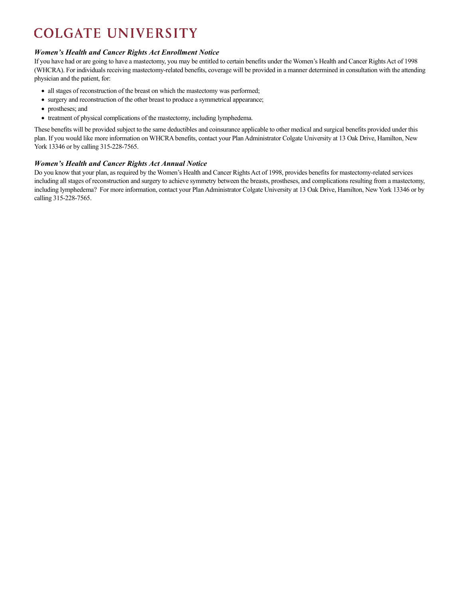# **COLGATE UNIVERSITY**

## *Women's Health and Cancer Rights Act Enrollment Notice*

If you have had or are going to have a mastectomy, you may be entitled to certain benefits under the Women's Health and Cancer Rights Act of 1998 (WHCRA). For individuals receiving mastectomy-related benefits, coverage will be provided in a manner determined in consultation with the attending physician and the patient, for:

- all stages of reconstruction of the breast on which the mastectomy was performed;
- surgery and reconstruction of the other breast to produce a symmetrical appearance;
- prostheses; and
- treatment of physical complications of the mastectomy, including lymphedema.

These benefits will be provided subject to the same deductibles and coinsurance applicable to other medical and surgical benefits provided under this plan. If you would like more information on WHCRA benefits, contact your Plan Administrator Colgate University at 13 Oak Drive, Hamilton, New York 13346 or by calling 315-228-7565.

# *Women's Health and Cancer Rights Act Annual Notice*

Do you know that your plan, as required by the Women's Health and Cancer Rights Act of 1998, provides benefits for mastectomy-related services including all stages of reconstruction and surgery to achieve symmetry between the breasts, prostheses, and complications resulting from a mastectomy, including lymphedema? For more information, contact your Plan Administrator Colgate University at 13 Oak Drive, Hamilton, New York 13346 or by calling 315-228-7565.